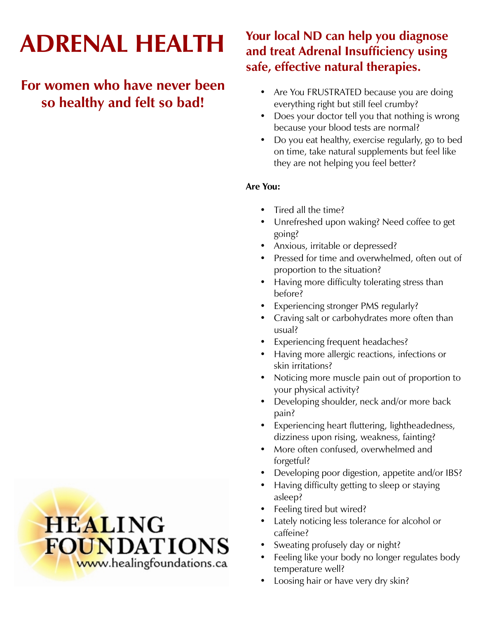# **ADRENAL HEALTH**

# **For women who have never been so healthy and felt so bad!**

# **Your local ND can help you diagnose and treat Adrenal Insufficiency using safe, effective natural therapies.**

- Are You FRUSTRATED because you are doing everything right but still feel crumby?
- Does your doctor tell you that nothing is wrong because your blood tests are normal?
- Do you eat healthy, exercise regularly, go to bed on time, take natural supplements but feel like they are not helping you feel better?

# **Are You:**

- Tired all the time?
- Unrefreshed upon waking? Need coffee to get going?
- Anxious, irritable or depressed?
- Pressed for time and overwhelmed, often out of proportion to the situation?
- Having more difficulty tolerating stress than before?
- Experiencing stronger PMS regularly?
- Craving salt or carbohydrates more often than usual?
- Experiencing frequent headaches?
- Having more allergic reactions, infections or skin irritations?
- Noticing more muscle pain out of proportion to your physical activity?
- Developing shoulder, neck and/or more back pain?
- Experiencing heart fluttering, lightheadedness, dizziness upon rising, weakness, fainting?
- More often confused, overwhelmed and forgetful?
- Developing poor digestion, appetite and/or IBS?
- Having difficulty getting to sleep or staying asleep?
- Feeling tired but wired?
- Lately noticing less tolerance for alcohol or caffeine?
- Sweating profusely day or night?
- Feeling like your body no longer regulates body temperature well?
- Loosing hair or have very dry skin?

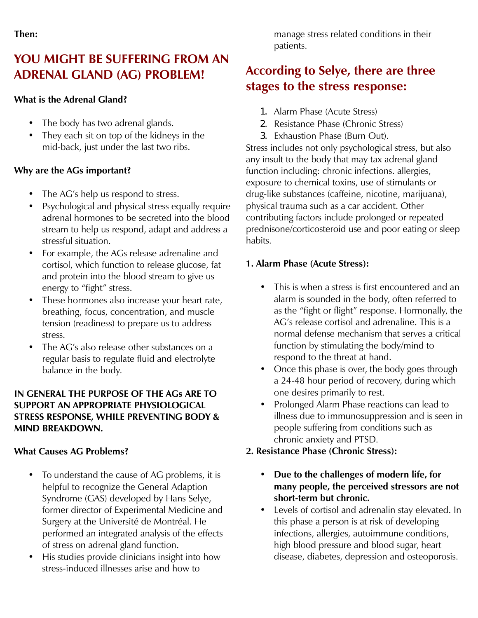# **YOU MIGHT BE SUFFERING FROM AN ADRENAL GLAND (AG) PROBLEM!**

## **What is the Adrenal Gland?**

- The body has two adrenal glands.
- They each sit on top of the kidneys in the mid-back, just under the last two ribs.

# **Why are the AGs important?**

- The AG's help us respond to stress.
- Psychological and physical stress equally require adrenal hormones to be secreted into the blood stream to help us respond, adapt and address a stressful situation.
- For example, the AGs release adrenaline and cortisol, which function to release glucose, fat and protein into the blood stream to give us energy to "fight" stress.
- These hormones also increase your heart rate, breathing, focus, concentration, and muscle tension (readiness) to prepare us to address stress.
- The AG's also release other substances on a regular basis to regulate fluid and electrolyte balance in the body.

### **IN GENERAL THE PURPOSE OF THE AGs ARE TO SUPPORT AN APPROPRIATE PHYSIOLOGICAL STRESS RESPONSE, WHILE PREVENTING BODY & MIND BREAKDOWN.**

# **What Causes AG Problems?**

- To understand the cause of AG problems, it is helpful to recognize the General Adaption Syndrome (GAS) developed by Hans Selye, former director of Experimental Medicine and Surgery at the Université de Montréal. He performed an integrated analysis of the effects of stress on adrenal gland function.
- His studies provide clinicians insight into how stress-induced illnesses arise and how to

manage stress related conditions in their patients.

# **According to Selye, there are three stages to the stress response:**

- 1. Alarm Phase (Acute Stress)
- 2. Resistance Phase (Chronic Stress)
- 3. Exhaustion Phase (Burn Out).

Stress includes not only psychological stress, but also any insult to the body that may tax adrenal gland function including: chronic infections. allergies, exposure to chemical toxins, use of stimulants or drug-like substances (caffeine, nicotine, marijuana), physical trauma such as a car accident. Other contributing factors include prolonged or repeated prednisone/corticosteroid use and poor eating or sleep habits.

# **1. Alarm Phase (Acute Stress):**

- This is when a stress is first encountered and an alarm is sounded in the body, often referred to as the "fight or flight" response. Hormonally, the AG's release cortisol and adrenaline. This is a normal defense mechanism that serves a critical function by stimulating the body/mind to respond to the threat at hand.
- Once this phase is over, the body goes through a 24-48 hour period of recovery, during which one desires primarily to rest.
- Prolonged Alarm Phase reactions can lead to illness due to immunosuppression and is seen in people suffering from conditions such as chronic anxiety and PTSD.

# **2. Resistance Phase (Chronic Stress):**

- **Due to the challenges of modern life, for many people, the perceived stressors are not short-term but chronic.**
- Levels of cortisol and adrenalin stay elevated. In this phase a person is at risk of developing infections, allergies, autoimmune conditions, high blood pressure and blood sugar, heart disease, diabetes, depression and osteoporosis.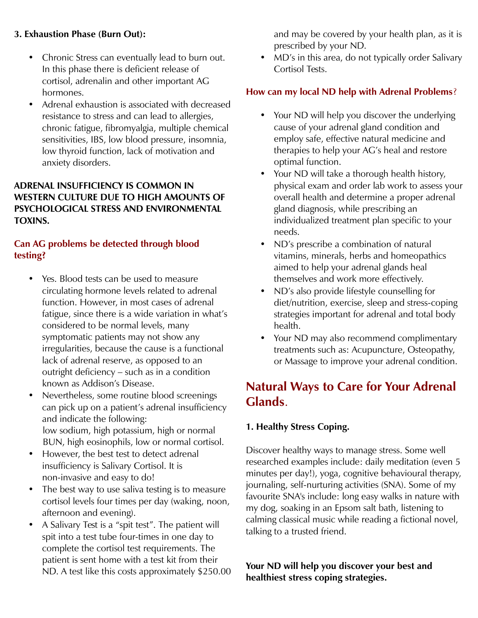### **3. Exhaustion Phase (Burn Out):**

- Chronic Stress can eventually lead to burn out. In this phase there is deficient release of cortisol, adrenalin and other important AG hormones.
- Adrenal exhaustion is associated with decreased resistance to stress and can lead to allergies, chronic fatigue, fibromyalgia, multiple chemical sensitivities, IBS, low blood pressure, insomnia, low thyroid function, lack of motivation and anxiety disorders.

### **ADRENAL INSUFFICIENCY IS COMMON IN WESTERN CULTURE DUE TO HIGH AMOUNTS OF PSYCHOLOGICAL STRESS AND ENVIRONMENTAL TOXINS.**

# **Can AG problems be detected through blood testing?**

- Yes. Blood tests can be used to measure circulating hormone levels related to adrenal function. However, in most cases of adrenal fatigue, since there is a wide variation in what's considered to be normal levels, many symptomatic patients may not show any irregularities, because the cause is a functional lack of adrenal reserve, as opposed to an outright deficiency – such as in a condition known as Addison's Disease.
- Nevertheless, some routine blood screenings can pick up on a patient's adrenal insufficiency and indicate the following: low sodium, high potassium, high or normal BUN, high eosinophils, low or normal cortisol.
- However, the best test to detect adrenal insufficiency is Salivary Cortisol. It is non-invasive and easy to do!
- The best way to use saliva testing is to measure cortisol levels four times per day (waking, noon, afternoon and evening).
- A Salivary Test is a "spit test". The patient will spit into a test tube four-times in one day to complete the cortisol test requirements. The patient is sent home with a test kit from their ND. A test like this costs approximately \$250.00

and may be covered by your health plan, as it is prescribed by your ND.

• MD's in this area, do not typically order Salivary Cortisol Tests.

# **How can my local ND help with Adrenal Problems**?

- Your ND will help you discover the underlying cause of your adrenal gland condition and employ safe, effective natural medicine and therapies to help your AG's heal and restore optimal function.
- Your ND will take a thorough health history, physical exam and order lab work to assess your overall health and determine a proper adrenal gland diagnosis, while prescribing an individualized treatment plan specific to your needs.
- ND's prescribe a combination of natural vitamins, minerals, herbs and homeopathics aimed to help your adrenal glands heal themselves and work more effectively.
- ND's also provide lifestyle counselling for diet/nutrition, exercise, sleep and stress-coping strategies important for adrenal and total body health.
- Your ND may also recommend complimentary treatments such as: Acupuncture, Osteopathy, or Massage to improve your adrenal condition.

# **Natural Ways to Care for Your Adrenal Glands**.

# **1. Healthy Stress Coping.**

Discover healthy ways to manage stress. Some well researched examples include: daily meditation (even 5 minutes per day!), yoga, cognitive behavioural therapy, journaling, self-nurturing activities (SNA). Some of my favourite SNA's include: long easy walks in nature with my dog, soaking in an Epsom salt bath, listening to calming classical music while reading a fictional novel, talking to a trusted friend.

**Your ND will help you discover your best and healthiest stress coping strategies.**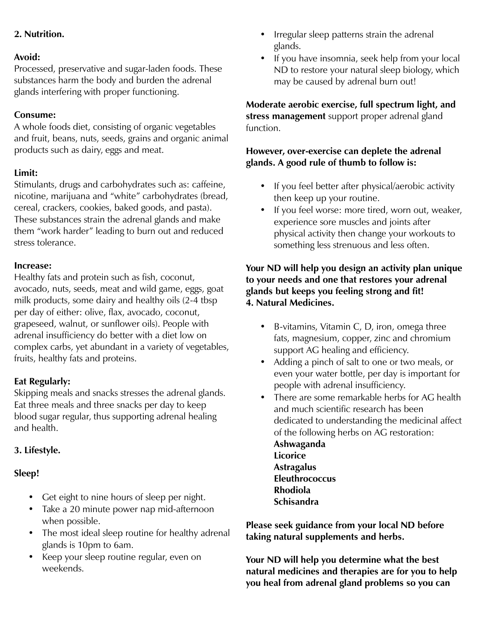# **2. Nutrition.**

#### **Avoid:**

Processed, preservative and sugar-laden foods. These substances harm the body and burden the adrenal glands interfering with proper functioning.

### **Consume:**

A whole foods diet, consisting of organic vegetables and fruit, beans, nuts, seeds, grains and organic animal products such as dairy, eggs and meat.

### **Limit:**

Stimulants, drugs and carbohydrates such as: caffeine, nicotine, marijuana and "white" carbohydrates (bread, cereal, crackers, cookies, baked goods, and pasta). These substances strain the adrenal glands and make them "work harder" leading to burn out and reduced stress tolerance.

#### **Increase:**

Healthy fats and protein such as fish, coconut, avocado, nuts, seeds, meat and wild game, eggs, goat milk products, some dairy and healthy oils (2-4 tbsp per day of either: olive, flax, avocado, coconut, grapeseed, walnut, or sunflower oils). People with adrenal insufficiency do better with a diet low on complex carbs, yet abundant in a variety of vegetables, fruits, healthy fats and proteins.

### **Eat Regularly:**

Skipping meals and snacks stresses the adrenal glands. Eat three meals and three snacks per day to keep blood sugar regular, thus supporting adrenal healing and health.

### **3. Lifestyle.**

### **Sleep!**

- Get eight to nine hours of sleep per night.
- Take a 20 minute power nap mid-afternoon when possible.
- The most ideal sleep routine for healthy adrenal glands is 10pm to 6am.
- Keep your sleep routine regular, even on weekends.
- Irregular sleep patterns strain the adrenal glands.
- If you have insomnia, seek help from your local ND to restore your natural sleep biology, which may be caused by adrenal burn out!

**Moderate aerobic exercise, full spectrum light, and stress management** support proper adrenal gland function.

### **However, over-exercise can deplete the adrenal glands. A good rule of thumb to follow is:**

- If you feel better after physical/aerobic activity then keep up your routine.
- If you feel worse: more tired, worn out, weaker, experience sore muscles and joints after physical activity then change your workouts to something less strenuous and less often.

### **Your ND will help you design an activity plan unique to your needs and one that restores your adrenal glands but keeps you feeling strong and fit! 4. Natural Medicines.**

- B-vitamins, Vitamin C, D, iron, omega three fats, magnesium, copper, zinc and chromium support AG healing and efficiency.
- Adding a pinch of salt to one or two meals, or even your water bottle, per day is important for people with adrenal insufficiency.
- There are some remarkable herbs for AG health and much scientific research has been dedicated to understanding the medicinal affect of the following herbs on AG restoration:

**Ashwaganda Licorice Astragalus Eleuthrococcus Rhodiola Schisandra** 

**Please seek guidance from your local ND before taking natural supplements and herbs.** 

**Your ND will help you determine what the best natural medicines and therapies are for you to help you heal from adrenal gland problems so you can**